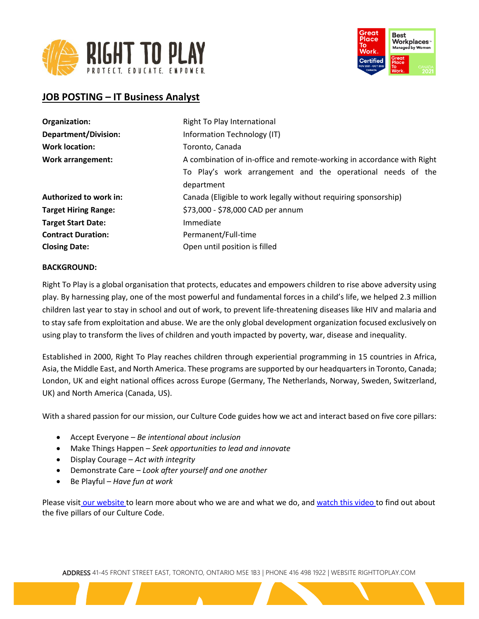



# **JOB POSTING – IT Business Analyst**

| Right To Play International                                            |
|------------------------------------------------------------------------|
| Information Technology (IT)                                            |
| Toronto, Canada                                                        |
| A combination of in-office and remote-working in accordance with Right |
| To Play's work arrangement and the operational needs of the            |
| department                                                             |
| Canada (Eligible to work legally without requiring sponsorship)        |
| \$73,000 - \$78,000 CAD per annum                                      |
| Immediate                                                              |
| Permanent/Full-time                                                    |
| Open until position is filled                                          |
|                                                                        |

### **BACKGROUND:**

Right To Play is a global organisation that protects, educates and empowers children to rise above adversity using play. By harnessing play, one of the most powerful and fundamental forces in a child's life, we helped 2.3 million children last year to stay in school and out of work, to prevent life-threatening diseases like HIV and malaria and to stay safe from exploitation and abuse. We are the only global development organization focused exclusively on using play to transform the lives of children and youth impacted by poverty, war, disease and inequality.

Established in 2000, Right To Play reaches children through experiential programming in 15 countries in Africa, Asia, the Middle East, and North America. These programs are supported by our headquarters in Toronto, Canada; London, UK and eight national offices across Europe (Germany, The Netherlands, Norway, Sweden, Switzerland, UK) and North America (Canada, US).

With a shared passion for our mission, our Culture Code guides how we act and interact based on five core pillars:

- Accept Everyone *Be intentional about inclusion*
- Make Things Happen *Seek opportunities to lead and innovate*
- Display Courage *Act with integrity*
- Demonstrate Care *Look after yourself and one another*
- Be Playful *Have fun at work*

Please visit [our website](http://www.righttoplay.ca/) to learn more about who we are and what we do, and [watch this video](https://www.righttoplay.com/en/landing/our-culture-code/) to find out about the five pillars of our Culture Code.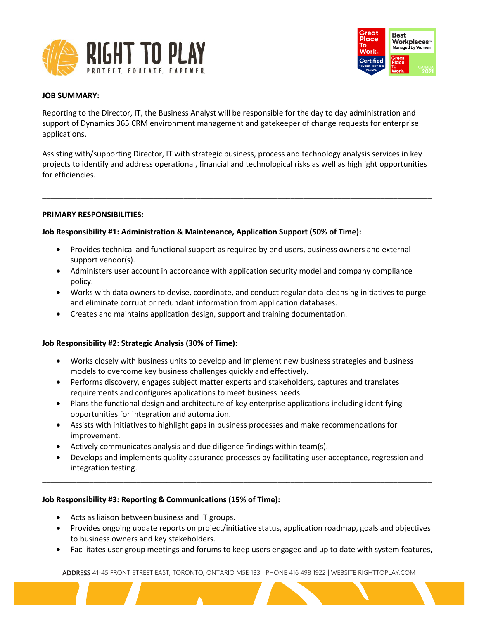



### **JOB SUMMARY:**

Reporting to the Director, IT, the Business Analyst will be responsible for the day to day administration and support of Dynamics 365 CRM environment management and gatekeeper of change requests for enterprise applications.

Assisting with/supporting Director, IT with strategic business, process and technology analysis services in key projects to identify and address operational, financial and technological risks as well as highlight opportunities for efficiencies.

\_\_\_\_\_\_\_\_\_\_\_\_\_\_\_\_\_\_\_\_\_\_\_\_\_\_\_\_\_\_\_\_\_\_\_\_\_\_\_\_\_\_\_\_\_\_\_\_\_\_\_\_\_\_\_\_\_\_\_\_\_\_\_\_\_\_\_\_\_\_\_\_\_\_\_\_\_\_\_\_\_\_\_\_\_\_\_\_\_\_\_

### **PRIMARY RESPONSIBILITIES:**

# **Job Responsibility #1: Administration & Maintenance, Application Support (50% of Time):**

- Provides technical and functional support as required by end users, business owners and external support vendor(s).
- Administers user account in accordance with application security model and company compliance policy.
- Works with data owners to devise, coordinate, and conduct regular data-cleansing initiatives to purge and eliminate corrupt or redundant information from application databases.
- Creates and maintains application design, support and training documentation.

# **Job Responsibility #2: Strategic Analysis (30% of Time):**

• Works closely with business units to develop and implement new business strategies and business models to overcome key business challenges quickly and effectively.

\_\_\_\_\_\_\_\_\_\_\_\_\_\_\_\_\_\_\_\_\_\_\_\_\_\_\_\_\_\_\_\_\_\_\_\_\_\_\_\_\_\_\_\_\_\_\_\_\_\_\_\_\_\_\_\_\_\_\_\_\_\_\_\_\_\_\_\_\_\_\_\_\_\_\_\_\_\_\_\_\_\_\_\_\_\_\_\_\_\_

- Performs discovery, engages subject matter experts and stakeholders, captures and translates requirements and configures applications to meet business needs.
- Plans the functional design and architecture of key enterprise applications including identifying opportunities for integration and automation.
- Assists with initiatives to highlight gaps in business processes and make recommendations for improvement.
- Actively communicates analysis and due diligence findings within team(s).
- Develops and implements quality assurance processes by facilitating user acceptance, regression and integration testing.

\_\_\_\_\_\_\_\_\_\_\_\_\_\_\_\_\_\_\_\_\_\_\_\_\_\_\_\_\_\_\_\_\_\_\_\_\_\_\_\_\_\_\_\_\_\_\_\_\_\_\_\_\_\_\_\_\_\_\_\_\_\_\_\_\_\_\_\_\_\_\_\_\_\_\_\_\_\_\_\_\_\_\_\_\_\_\_\_\_\_\_

#### **Job Responsibility #3: Reporting & Communications (15% of Time):**

- Acts as liaison between business and IT groups.
- Provides ongoing update reports on project/initiative status, application roadmap, goals and objectives to business owners and key stakeholders.
- Facilitates user group meetings and forums to keep users engaged and up to date with system features,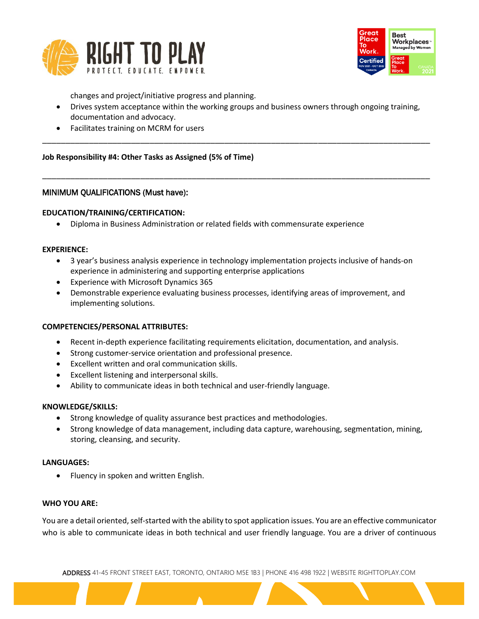



changes and project/initiative progress and planning.

• Drives system acceptance within the working groups and business owners through ongoing training, documentation and advocacy.

\_\_\_\_\_\_\_\_\_\_\_\_\_\_\_\_\_\_\_\_\_\_\_\_\_\_\_\_\_\_\_\_\_\_\_\_\_\_\_\_\_\_\_\_\_\_\_\_\_\_\_\_\_\_\_\_\_\_\_\_\_\_\_\_\_\_\_\_\_\_\_\_\_\_\_\_\_\_\_\_\_\_\_

\_\_\_\_\_\_\_\_\_\_\_\_\_\_\_\_\_\_\_\_\_\_\_\_\_\_\_\_\_\_\_\_\_\_\_\_\_\_\_\_\_\_\_\_\_\_\_\_\_\_\_\_\_\_\_\_\_\_\_\_\_\_\_\_\_\_\_\_\_\_\_\_\_\_\_\_\_\_\_\_\_\_\_

• Facilitates training on MCRM for users

# **Job Responsibility #4: Other Tasks as Assigned (5% of Time)**

# MINIMUM QUALIFICATIONS (Must have):

### **EDUCATION/TRAINING/CERTIFICATION:**

• Diploma in Business Administration or related fields with commensurate experience

#### **EXPERIENCE:**

- 3 year's business analysis experience in technology implementation projects inclusive of hands-on experience in administering and supporting enterprise applications
- Experience with Microsoft Dynamics 365
- Demonstrable experience evaluating business processes, identifying areas of improvement, and implementing solutions.

#### **COMPETENCIES/PERSONAL ATTRIBUTES:**

- Recent in-depth experience facilitating requirements elicitation, documentation, and analysis.
- Strong customer-service orientation and professional presence.
- Excellent written and oral communication skills.
- Excellent listening and interpersonal skills.
- Ability to communicate ideas in both technical and user-friendly language.

#### **KNOWLEDGE/SKILLS:**

- Strong knowledge of quality assurance best practices and methodologies.
- Strong knowledge of data management, including data capture, warehousing, segmentation, mining, storing, cleansing, and security.

#### **LANGUAGES:**

• Fluency in spoken and written English.

#### **WHO YOU ARE:**

You are a detail oriented, self-started with the ability to spot application issues. You are an effective communicator who is able to communicate ideas in both technical and user friendly language. You are a driver of continuous